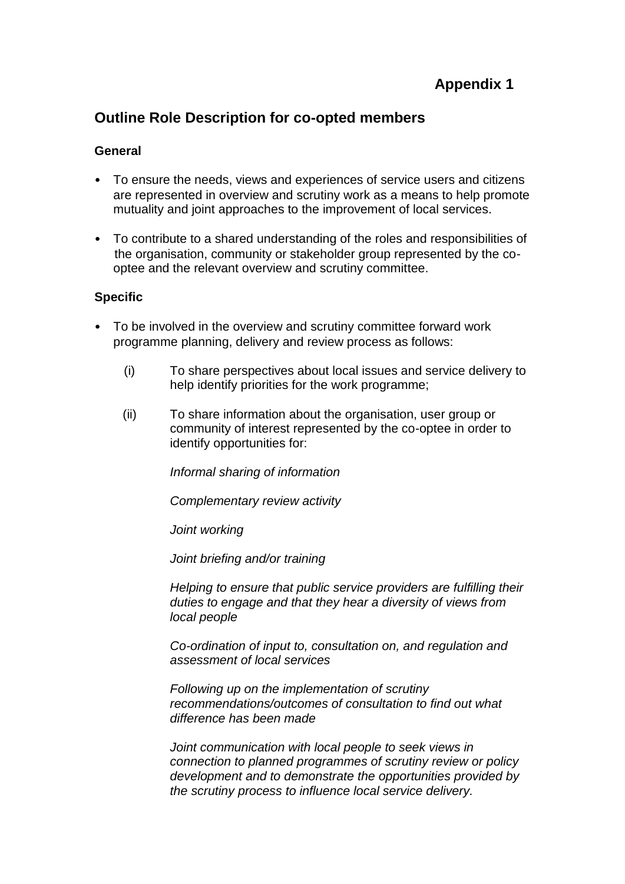# **Appendix 1**

# **Outline Role Description for co-opted members**

### **General**

- To ensure the needs, views and experiences of service users and citizens are represented in overview and scrutiny work as a means to help promote mutuality and joint approaches to the improvement of local services.
- To contribute to a shared understanding of the roles and responsibilities of the organisation, community or stakeholder group represented by the cooptee and the relevant overview and scrutiny committee.

### **Specific**

- To be involved in the overview and scrutiny committee forward work programme planning, delivery and review process as follows:
	- (i) To share perspectives about local issues and service delivery to help identify priorities for the work programme;
	- (ii) To share information about the organisation, user group or community of interest represented by the co-optee in order to identify opportunities for:

*Informal sharing of information* 

*Complementary review activity*

*Joint working*

*Joint briefing and/or training*

*Helping to ensure that public service providers are fulfilling their duties to engage and that they hear a diversity of views from local people*

*Co-ordination of input to, consultation on, and regulation and assessment of local services*

*Following up on the implementation of scrutiny recommendations/outcomes of consultation to find out what difference has been made*

*Joint communication with local people to seek views in connection to planned programmes of scrutiny review or policy development and to demonstrate the opportunities provided by the scrutiny process to influence local service delivery.*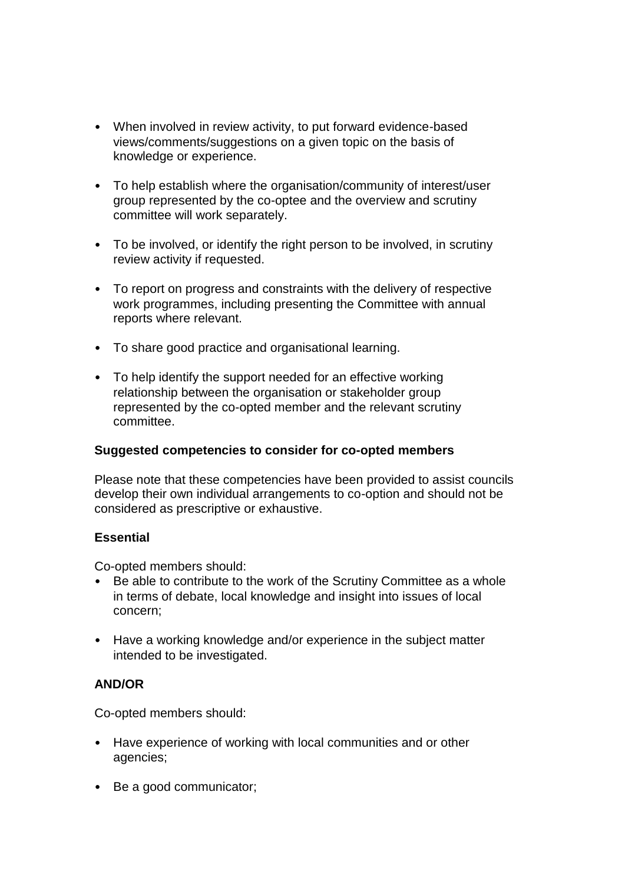- When involved in review activity, to put forward evidence-based views/comments/suggestions on a given topic on the basis of knowledge or experience.
- To help establish where the organisation/community of interest/user group represented by the co-optee and the overview and scrutiny committee will work separately.
- To be involved, or identify the right person to be involved, in scrutiny review activity if requested.
- To report on progress and constraints with the delivery of respective work programmes, including presenting the Committee with annual reports where relevant.
- To share good practice and organisational learning.
- To help identify the support needed for an effective working relationship between the organisation or stakeholder group represented by the co-opted member and the relevant scrutiny committee.

# **Suggested competencies to consider for co-opted members**

Please note that these competencies have been provided to assist councils develop their own individual arrangements to co-option and should not be considered as prescriptive or exhaustive.

#### **Essential**

Co-opted members should:

- Be able to contribute to the work of the Scrutiny Committee as a whole in terms of debate, local knowledge and insight into issues of local concern;
- Have a working knowledge and/or experience in the subject matter intended to be investigated.

# **AND/OR**

Co-opted members should:

- Have experience of working with local communities and or other agencies;
- Be a good communicator;